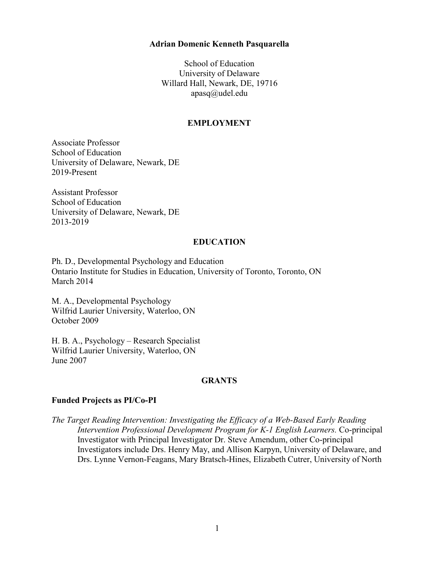### **Adrian Domenic Kenneth Pasquarella**

School of Education University of Delaware Willard Hall, Newark, DE, 19716 [apasq@udel.edu](mailto:apasq@udel.edu)

#### **EMPLOYMENT**

Associate Professor School of Education University of Delaware, Newark, DE 2019-Present

Assistant Professor School of Education University of Delaware, Newark, DE 2013-2019

### **EDUCATION**

Ph. D., Developmental Psychology and Education Ontario Institute for Studies in Education, University of Toronto, Toronto, ON March 2014

M. A., Developmental Psychology Wilfrid Laurier University, Waterloo, ON October 2009

H. B. A., Psychology – Research Specialist Wilfrid Laurier University, Waterloo, ON June 2007

## **GRANTS**

## **Funded Projects as PI/Co-PI**

*The Target Reading Intervention: Investigating the Efficacy of a Web-Based Early Reading Intervention Professional Development Program for K-1 English Learners.* Co-principal Investigator with Principal Investigator Dr. Steve Amendum, other Co-principal Investigators include Drs. Henry May, and Allison Karpyn, University of Delaware, and Drs. Lynne Vernon-Feagans, Mary Bratsch-Hines, Elizabeth Cutrer, University of North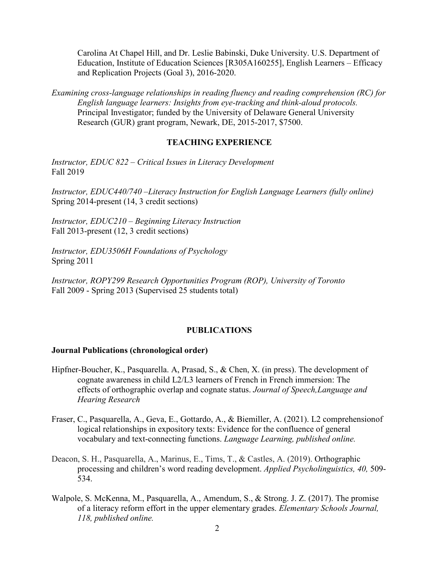Carolina At Chapel Hill, and Dr. Leslie Babinski, Duke University. U.S. Department of Education, Institute of Education Sciences [R305A160255], English Learners – Efficacy and Replication Projects (Goal 3), 2016-2020.

*Examining cross-language relationships in reading fluency and reading comprehension (RC) for English language learners: Insights from eye-tracking and think-aloud protocols.* Principal Investigator; funded by the University of Delaware General University Research (GUR) grant program, Newark, DE, 2015-2017, \$7500.

#### **TEACHING EXPERIENCE**

*Instructor, EDUC 822 – Critical Issues in Literacy Development* Fall 2019

*Instructor, EDUC440/740 –Literacy Instruction for English Language Learners (fully online)* Spring 2014-present (14, 3 credit sections)

*Instructor, EDUC210 – Beginning Literacy Instruction* Fall 2013-present (12, 3 credit sections)

*Instructor, EDU3506H Foundations of Psychology* Spring 2011

*Instructor, ROPY299 Research Opportunities Program (ROP), University of Toronto* Fall 2009 - Spring 2013 (Supervised 25 students total)

#### **PUBLICATIONS**

#### **Journal Publications (chronological order)**

- Hipfner-Boucher, K., Pasquarella. A, Prasad, S., & Chen, X. (in press). The development of cognate awareness in child L2/L3 learners of French in French immersion: The effects of orthographic overlap and cognate status. *Journal of Speech,Language and Hearing Research*
- Fraser, C., Pasquarella, A., Geva, E., Gottardo, A., & Biemiller, A. (2021). L2 comprehensionof logical relationships in expository texts: Evidence for the confluence of general vocabulary and text-connecting functions. *Language Learning, published online.*
- Deacon, S. H., Pasquarella, A., Marinus, E., Tims, T., & Castles, A. (2019). Orthographic processing and children's word reading development. *Applied Psycholinguistics, 40,* 509- 534.
- Walpole, S. McKenna, M., Pasquarella, A., Amendum, S., & Strong. J. Z. (2017). The promise of a literacy reform effort in the upper elementary grades. *Elementary Schools Journal, 118, published online.*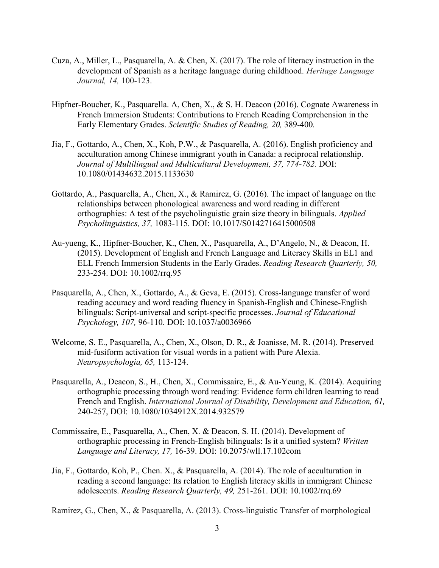- Cuza, A., Miller, L., Pasquarella, A. & Chen, X. (2017). The role of literacy instruction in the development of Spanish as a heritage language during childhood. *Heritage Language Journal, 14,* 100-123.
- Hipfner-Boucher, K., Pasquarella. A, Chen, X., & S. H. Deacon (2016). Cognate Awareness in French Immersion Students: Contributions to French Reading Comprehension in the Early Elementary Grades. *Scientific Studies of Reading, 20,* 389-400*.*
- Jia, F., Gottardo, A., Chen, X., Koh, P.W., & Pasquarella, A. (2016). English proficiency and acculturation among Chinese immigrant youth in Canada: a reciprocal relationship. *Journal of Multilingual and Multicultural Development, 37, 774-782.* DOI: 10.1080/01434632.2015.1133630
- Gottardo, A., Pasquarella, A., Chen, X., & Ramirez, G. (2016). The impact of language on the relationships between phonological awareness and word reading in different orthographies: A test of the psycholinguistic grain size theory in bilinguals. *Applied Psycholinguistics, 37,* 1083-115. DOI: 10.1017/S0142716415000508
- Au-yueng, K., Hipfner-Boucher, K., Chen, X., Pasquarella, A., D'Angelo, N., & Deacon, H. (2015). Development of English and French Language and Literacy Skills in EL1 and ELL French Immersion Students in the Early Grades. *Reading Research Quarterly, 50,* 233-254. DOI: 10.1002/rrq.95
- Pasquarella, A., Chen, X., Gottardo, A., & Geva, E. (2015). Cross-language transfer of word reading accuracy and word reading fluency in Spanish-English and Chinese-English bilinguals: Script-universal and script-specific processes. *Journal of Educational Psychology, 107,* 96-110. DOI: 10.1037/a0036966
- Welcome, S. E., Pasquarella, A., Chen, X., Olson, D. R., & Joanisse, M. R. (2014). Preserved mid-fusiform activation for visual words in a patient with Pure Alexia. *Neuropsychologia, 65,* 113-124.
- Pasquarella, A., Deacon, S., H., Chen, X., Commissaire, E., & Au-Yeung, K. (2014). Acquiring orthographic processing through word reading: Evidence form children learning to read French and English. *International Journal of Disability, Development and Education, 61,* 240-257, DOI: 10.1080/1034912X.2014.932579
- Commissaire, E., Pasquarella, A., Chen, X. & Deacon, S. H. (2014). Development of orthographic processing in French-English bilinguals: Is it a unified system? *Written Language and Literacy, 17,* 16-39. DOI: 10.2075/wll.17.102com
- Jia, F., Gottardo, Koh, P., Chen. X., & Pasquarella, A. (2014). The role of acculturation in reading a second language: Its relation to English literacy skills in immigrant Chinese adolescents. *Reading Research Quarterly, 49,* 251-261. DOI: 10.1002/rrq.69

Ramirez, G., Chen, X., & Pasquarella, A. (2013). Cross-linguistic Transfer of morphological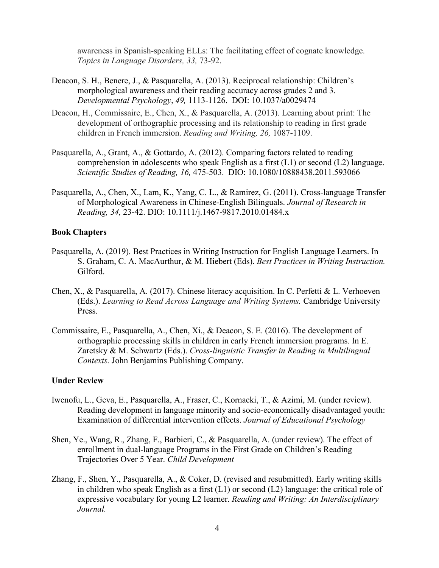awareness in Spanish-speaking ELLs: The facilitating effect of cognate knowledge. *Topics in Language Disorders, 33,* 73-92.

- Deacon, S. H., Benere, J., & Pasquarella, A. (2013). Reciprocal relationship: Children's morphological awareness and their reading accuracy across grades 2 and 3. *Developmental Psychology*, *49,* 1113-1126. DOI: 10.1037/a0029474
- Deacon, H., Commissaire, E., Chen, X., & Pasquarella, A. (2013). Learning about print: The development of orthographic processing and its relationship to reading in first grade children in French immersion. *Reading and Writing, 26,* 1087-1109.
- Pasquarella, A., Grant, A., & Gottardo, A. (2012). Comparing factors related to reading comprehension in adolescents who speak English as a first (L1) or second (L2) language. *Scientific Studies of Reading, 16,* 475-503. DIO: 10.1080/10888438.2011.593066
- Pasquarella, A., Chen, X., Lam, K., Yang, C. L., & Ramirez, G. (2011). Cross-language Transfer of Morphological Awareness in Chinese-English Bilinguals. *Journal of Research in Reading, 34,* 23-42. DIO: 10.1111/j.1467-9817.2010.01484.x

#### **Book Chapters**

- Pasquarella, A. (2019). Best Practices in Writing Instruction for English Language Learners. In S. Graham, C. A. MacAurthur, & M. Hiebert (Eds). *Best Practices in Writing Instruction.* Gilford.
- Chen, X., & Pasquarella, A. (2017). Chinese literacy acquisition. In C. Perfetti & L. Verhoeven (Eds.). *Learning to Read Across Language and Writing Systems.* Cambridge University Press.
- Commissaire, E., Pasquarella, A., Chen, Xi., & Deacon, S. E. (2016). The development of orthographic processing skills in children in early French immersion programs. In E. Zaretsky & M. Schwartz (Eds.). *Cross-linguistic Transfer in Reading in Multilingual Contexts.* John Benjamins Publishing Company.

## **Under Review**

- Iwenofu, L., Geva, E., Pasquarella, A., Fraser, C., Kornacki, T., & Azimi, M. (under review). Reading development in language minority and socio-economically disadvantaged youth: Examination of differential intervention effects. *Journal of Educational Psychology*
- Shen, Ye., Wang, R., Zhang, F., Barbieri, C., & Pasquarella, A. (under review). The effect of enrollment in dual-language Programs in the First Grade on Children's Reading Trajectories Over 5 Year. *Child Development*
- Zhang, F., Shen, Y., Pasquarella, A., & Coker, D. (revised and resubmitted). Early writing skills in children who speak English as a first (L1) or second (L2) language: the critical role of expressive vocabulary for young L2 learner. *Reading and Writing: An Interdisciplinary Journal.*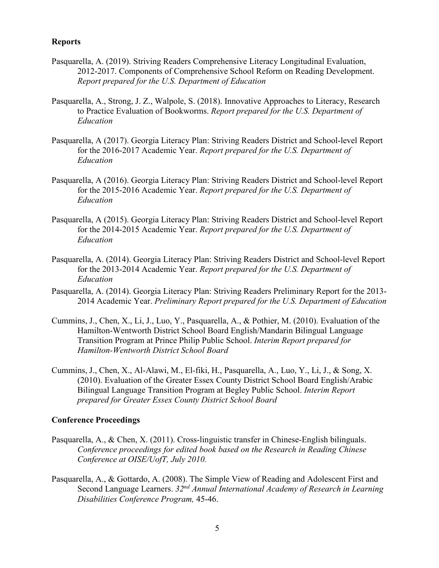### **Reports**

- Pasquarella, A. (2019). Striving Readers Comprehensive Literacy Longitudinal Evaluation, 2012-2017. Components of Comprehensive School Reform on Reading Development. *Report prepared for the U.S. Department of Education*
- Pasquarella, A., Strong, J. Z., Walpole, S. (2018). Innovative Approaches to Literacy, Research to Practice Evaluation of Bookworms. *Report prepared for the U.S. Department of Education*
- Pasquarella, A (2017). Georgia Literacy Plan: Striving Readers District and School-level Report for the 2016-2017 Academic Year. *Report prepared for the U.S. Department of Education*
- Pasquarella, A (2016). Georgia Literacy Plan: Striving Readers District and School-level Report for the 2015-2016 Academic Year. *Report prepared for the U.S. Department of Education*
- Pasquarella, A (2015). Georgia Literacy Plan: Striving Readers District and School-level Report for the 2014-2015 Academic Year. *Report prepared for the U.S. Department of Education*
- Pasquarella, A. (2014). Georgia Literacy Plan: Striving Readers District and School-level Report for the 2013-2014 Academic Year. *Report prepared for the U.S. Department of Education*
- Pasquarella, A. (2014). Georgia Literacy Plan: Striving Readers Preliminary Report for the 2013- 2014 Academic Year. *Preliminary Report prepared for the U.S. Department of Education*
- Cummins, J., Chen, X., Li, J., Luo, Y., Pasquarella, A., & Pothier, M. (2010). Evaluation of the Hamilton-Wentworth District School Board English/Mandarin Bilingual Language Transition Program at Prince Philip Public School. *Interim Report prepared for Hamilton-Wentworth District School Board*
- Cummins, J., Chen, X., Al-Alawi, M., El-fiki, H., Pasquarella, A., Luo, Y., Li, J., & Song, X. (2010). Evaluation of the Greater Essex County District School Board English/Arabic Bilingual Language Transition Program at Begley Public School. *Interim Report prepared for Greater Essex County District School Board*

### **Conference Proceedings**

- Pasquarella, A., & Chen, X. (2011). Cross-linguistic transfer in Chinese-English bilinguals. *Conference proceedings for edited book based on the Research in Reading Chinese Conference at OISE/UofT, July 2010.*
- Pasquarella, A., & Gottardo, A. (2008). The Simple View of Reading and Adolescent First and Second Language Learners. *32nd Annual International Academy of Research in Learning Disabilities Conference Program,* 45-46.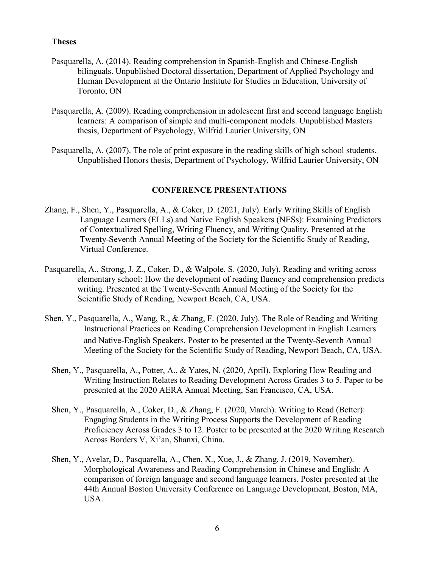### **Theses**

- Pasquarella, A. (2014). Reading comprehension in Spanish-English and Chinese-English bilinguals. Unpublished Doctoral dissertation, Department of Applied Psychology and Human Development at the Ontario Institute for Studies in Education, University of Toronto, ON
- Pasquarella, A. (2009). Reading comprehension in adolescent first and second language English learners: A comparison of simple and multi-component models. Unpublished Masters thesis, Department of Psychology, Wilfrid Laurier University, ON
- Pasquarella, A. (2007). The role of print exposure in the reading skills of high school students. Unpublished Honors thesis, Department of Psychology, Wilfrid Laurier University, ON

### **CONFERENCE PRESENTATIONS**

- Zhang, F., Shen, Y., Pasquarella, A., & Coker, D. (2021, July). Early Writing Skills of English Language Learners (ELLs) and Native English Speakers (NESs): Examining Predictors of Contextualized Spelling, Writing Fluency, and Writing Quality. Presented at the Twenty-Seventh Annual Meeting of the Society for the Scientific Study of Reading, Virtual Conference.
- Pasquarella, A., Strong, J. Z., Coker, D., & Walpole, S. (2020, July). Reading and writing across elementary school: How the development of reading fluency and comprehension predicts writing. Presented at the Twenty-Seventh Annual Meeting of the Society for the Scientific Study of Reading, Newport Beach, CA, USA.
- Shen, Y., Pasquarella, A., Wang, R., & Zhang, F. (2020, July). The Role of Reading and Writing Instructional Practices on Reading Comprehension Development in English Learners and Native-English Speakers. Poster to be presented at the Twenty-Seventh Annual Meeting of the Society for the Scientific Study of Reading, Newport Beach, CA, USA.
	- Shen, Y., Pasquarella, A., Potter, A., & Yates, N. (2020, April). Exploring How Reading and Writing Instruction Relates to Reading Development Across Grades 3 to 5. Paper to be presented at the 2020 AERA Annual Meeting, San Francisco, CA, USA.
	- Shen, Y., Pasquarella, A., Coker, D., & Zhang, F. (2020, March). Writing to Read (Better): Engaging Students in the Writing Process Supports the Development of Reading Proficiency Across Grades 3 to 12. Poster to be presented at the 2020 Writing Research Across Borders V, Xi'an, Shanxi, China.
	- Shen, Y., Avelar, D., Pasquarella, A., Chen, X., Xue, J., & Zhang, J. (2019, November). Morphological Awareness and Reading Comprehension in Chinese and English: A comparison of foreign language and second language learners. Poster presented at the 44th Annual Boston University Conference on Language Development, Boston, MA, USA.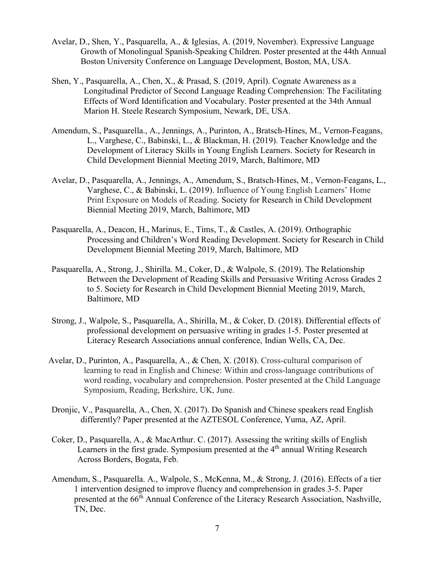- Avelar, D., Shen, Y., Pasquarella, A., & Iglesias, A. (2019, November). Expressive Language Growth of Monolingual Spanish-Speaking Children. Poster presented at the 44th Annual Boston University Conference on Language Development, Boston, MA, USA.
- Shen, Y., Pasquarella, A., Chen, X., & Prasad, S. (2019, April). Cognate Awareness as a Longitudinal Predictor of Second Language Reading Comprehension: The Facilitating Effects of Word Identification and Vocabulary. Poster presented at the 34th Annual Marion H. Steele Research Symposium, Newark, DE, USA.
- Amendum, S., Pasquarella., A., Jennings, A., Purinton, A., Bratsch-Hines, M., Vernon-Feagans, L., Varghese, C., Babinski, L., & Blackman, H. (2019). Teacher Knowledge and the Development of Literacy Skills in Young English Learners. Society for Research in Child Development Biennial Meeting 2019, March, Baltimore, MD
- Avelar, D., Pasquarella, A., Jennings, A., Amendum, S., Bratsch-Hines, M., Vernon-Feagans, L., Varghese, C., & Babinski, L. (2019). Influence of Young English Learners' Home Print Exposure on Models of Reading. Society for Research in Child Development Biennial Meeting 2019, March, Baltimore, MD
- Pasquarella, A., Deacon, H., Marinus, E., Tims, T., & Castles, A. (2019). Orthographic Processing and Children's Word Reading Development. Society for Research in Child Development Biennial Meeting 2019, March, Baltimore, MD
- Pasquarella, A., Strong, J., Shirilla. M., Coker, D., & Walpole, S. (2019). The Relationship Between the Development of Reading Skills and Persuasive Writing Across Grades 2 to 5. Society for Research in Child Development Biennial Meeting 2019, March, Baltimore, MD
- Strong, J., Walpole, S., Pasquarella, A., Shirilla, M., & Coker, D. (2018). Differential effects of professional development on persuasive writing in grades 1-5. Poster presented at Literacy Research Associations annual conference, Indian Wells, CA, Dec.
- Avelar, D., Purinton, A., Pasquarella, A., & Chen, X. (2018). Cross-cultural comparison of learning to read in English and Chinese: Within and cross-language contributions of word reading, vocabulary and comprehension. Poster presented at the Child Language Symposium, Reading, Berkshire, UK, June.
- Dronjic, V., Pasquarella, A., Chen, X. (2017). Do Spanish and Chinese speakers read English differently? Paper presented at the AZTESOL Conference, Yuma, AZ, April.
- Coker, D., Pasquarella, A., & MacArthur. C. (2017). Assessing the writing skills of English Learners in the first grade. Symposium presented at the  $4<sup>th</sup>$  annual Writing Research Across Borders, Bogata, Feb.
- Amendum, S., Pasquarella. A., Walpole, S., McKenna, M., & Strong, J. (2016). Effects of a tier 1 intervention designed to improve fluency and comprehension in grades 3-5. Paper presented at the 66<sup>th</sup> Annual Conference of the Literacy Research Association, Nashville, TN, Dec.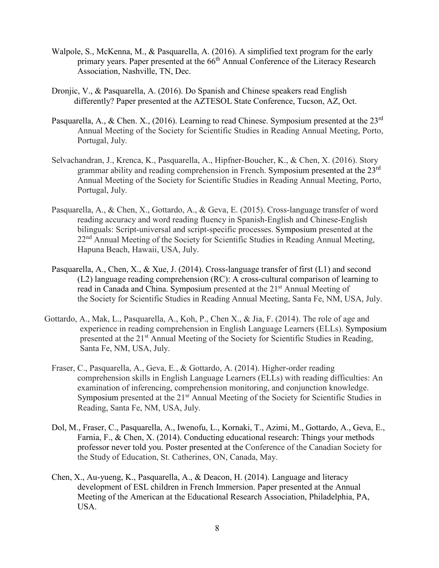- Walpole, S., McKenna, M., & Pasquarella, A. (2016). A simplified text program for the early primary years. Paper presented at the 66<sup>th</sup> Annual Conference of the Literacy Research Association, Nashville, TN, Dec.
- Dronjic, V., & Pasquarella, A. (2016). Do Spanish and Chinese speakers read English differently? Paper presented at the AZTESOL State Conference, Tucson, AZ, Oct.
- Pasquarella, A., & Chen. X., (2016). Learning to read Chinese. Symposium presented at the  $23<sup>rd</sup>$ Annual Meeting of the Society for Scientific Studies in Reading Annual Meeting, Porto, Portugal, July.
- Selvachandran, J., Krenca, K., Pasquarella, A., Hipfner-Boucher, K., & Chen, X. (2016). Story grammar ability and reading comprehension in French. Symposium presented at the 23<sup>rd</sup> Annual Meeting of the Society for Scientific Studies in Reading Annual Meeting, Porto, Portugal, July.
- Pasquarella, A., & Chen, X., Gottardo, A., & Geva, E. (2015). Cross-language transfer of word reading accuracy and word reading fluency in Spanish-English and Chinese-English bilinguals: Script-universal and script-specific processes. Symposium presented at the 22<sup>nd</sup> Annual Meeting of the Society for Scientific Studies in Reading Annual Meeting, Hapuna Beach, Hawaii, USA, July.
- Pasquarella, A., Chen, X., & Xue, J. (2014). Cross-language transfer of first (L1) and second (L2) language reading comprehension (RC): A cross-cultural comparison of learning to read in Canada and China. Symposium presented at the 21<sup>st</sup> Annual Meeting of the Society for Scientific Studies in Reading Annual Meeting, Santa Fe, NM, USA, July.
- Gottardo, A., Mak, L., Pasquarella, A., Koh, P., Chen X., & Jia, F. (2014). The role of age and experience in reading comprehension in English Language Learners (ELLs). Symposium presented at the 21<sup>st</sup> Annual Meeting of the Society for Scientific Studies in Reading, Santa Fe, NM, USA, July.
	- Fraser, C., Pasquarella, A., Geva, E., & Gottardo, A. (2014). Higher-order reading comprehension skills in English Language Learners (ELLs) with reading difficulties: An examination of inferencing, comprehension monitoring, and conjunction knowledge. Symposium presented at the 21<sup>sr</sup> Annual Meeting of the Society for Scientific Studies in Reading, Santa Fe, NM, USA, July.
	- Dol, M., Fraser, C., Pasquarella, A., Iwenofu, L., Kornaki, T., Azimi, M., Gottardo, A., Geva, E., Farnia, F., & Chen, X. (2014). Conducting educational research: Things your methods professor never told you. Poster presented at the Conference of the Canadian Society for the Study of Education, St. Catherines, ON, Canada, May.
	- Chen, X., Au-yueng, K., Pasquarella, A., & Deacon, H. (2014). Language and literacy development of ESL children in French Immersion. Paper presented at the Annual Meeting of the American at the Educational Research Association, Philadelphia, PA, USA.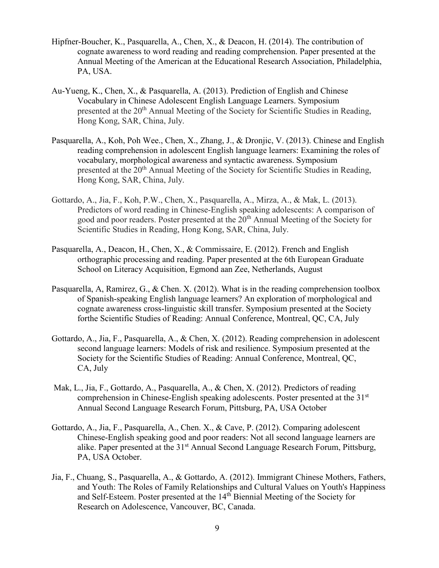- Hipfner-Boucher, K., Pasquarella, A., Chen, X., & Deacon, H. (2014). The contribution of cognate awareness to word reading and reading comprehension. Paper presented at the Annual Meeting of the American at the Educational Research Association, Philadelphia, PA, USA.
- Au-Yueng, K., Chen, X., & Pasquarella, A. (2013). Prediction of English and Chinese Vocabulary in Chinese Adolescent English Language Learners. Symposium presented at the 20<sup>th</sup> Annual Meeting of the Society for Scientific Studies in Reading, Hong Kong, SAR, China, July.
- Pasquarella, A., Koh, Poh Wee., Chen, X., Zhang, J., & Dronjic, V. (2013). Chinese and English reading comprehension in adolescent English language learners: Examining the roles of vocabulary, morphological awareness and syntactic awareness. Symposium presented at the 20<sup>th</sup> Annual Meeting of the Society for Scientific Studies in Reading, Hong Kong, SAR, China, July.
- Gottardo, A., Jia, F., Koh, P.W., Chen, X., Pasquarella, A., Mirza, A., & Mak, L. (2013). Predictors of word reading in Chinese-English speaking adolescents: A comparison of good and poor readers. Poster presented at the 20<sup>th</sup> Annual Meeting of the Society for Scientific Studies in Reading, Hong Kong, SAR, China, July.
- Pasquarella, A., Deacon, H., Chen, X., & Commissaire, E. (2012). French and English orthographic processing and reading. Paper presented at the 6th European Graduate School on Literacy Acquisition, Egmond aan Zee, Netherlands, August
- Pasquarella, A, Ramirez, G., & Chen. X. (2012). What is in the reading comprehension toolbox of Spanish-speaking English language learners? An exploration of morphological and cognate awareness cross-linguistic skill transfer. Symposium presented at the Society forthe Scientific Studies of Reading: Annual Conference, Montreal, QC, CA, July
- Gottardo, A., Jia, F., Pasquarella, A., & Chen, X. (2012). Reading comprehension in adolescent second language learners: Models of risk and resilience. Symposium presented at the Society for the Scientific Studies of Reading: Annual Conference, Montreal, QC, CA, July
- Mak, L., Jia, F., Gottardo, A., Pasquarella, A., & Chen, X. (2012). Predictors of reading comprehension in Chinese-English speaking adolescents. Poster presented at the 31<sup>st</sup> Annual Second Language Research Forum, Pittsburg, PA, USA October
- Gottardo, A., Jia, F., Pasquarella, A., Chen. X., & Cave, P. (2012). Comparing adolescent Chinese-English speaking good and poor readers: Not all second language learners are alike. Paper presented at the 31<sup>st</sup> Annual Second Language Research Forum, Pittsburg, PA, USA October.
- Jia, F., Chuang, S., Pasquarella, A., & Gottardo, A. (2012). Immigrant Chinese Mothers, Fathers, and Youth: The Roles of Family Relationships and Cultural Values on Youth's Happiness and Self-Esteem. Poster presented at the  $14<sup>th</sup>$  Biennial Meeting of the Society for Research on Adolescence, Vancouver, BC, Canada.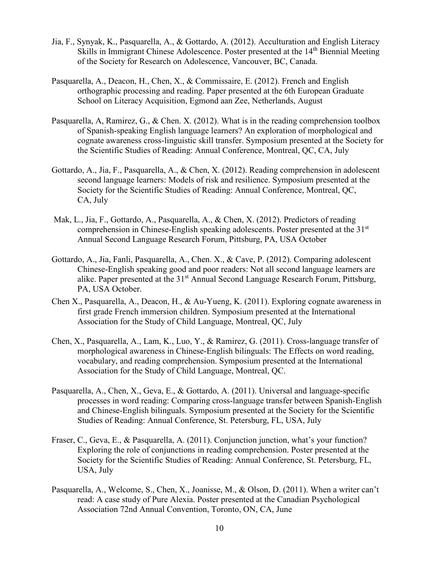- Jia, F., Synyak, K., Pasquarella, A., & Gottardo, A. (2012). Acculturation and English Literacy Skills in Immigrant Chinese Adolescence. Poster presented at the 14<sup>th</sup> Biennial Meeting of the Society for Research on Adolescence, Vancouver, BC, Canada.
- Pasquarella, A., Deacon, H., Chen, X., & Commissaire, E. (2012). French and English orthographic processing and reading. Paper presented at the 6th European Graduate School on Literacy Acquisition, Egmond aan Zee, Netherlands, August
- Pasquarella, A, Ramirez, G., & Chen. X. (2012). What is in the reading comprehension toolbox of Spanish-speaking English language learners? An exploration of morphological and cognate awareness cross-linguistic skill transfer. Symposium presented at the Society for the Scientific Studies of Reading: Annual Conference, Montreal, QC, CA, July
- Gottardo, A., Jia, F., Pasquarella, A., & Chen, X. (2012). Reading comprehension in adolescent second language learners: Models of risk and resilience. Symposium presented at the Society for the Scientific Studies of Reading: Annual Conference, Montreal, QC, CA, July
- Mak, L., Jia, F., Gottardo, A., Pasquarella, A., & Chen, X. (2012). Predictors of reading comprehension in Chinese-English speaking adolescents. Poster presented at the 31<sup>st</sup> Annual Second Language Research Forum, Pittsburg, PA, USA October
- Gottardo, A., Jia, Fanli, Pasquarella, A., Chen. X., & Cave, P. (2012). Comparing adolescent Chinese-English speaking good and poor readers: Not all second language learners are alike. Paper presented at the 31<sup>st</sup> Annual Second Language Research Forum, Pittsburg, PA, USA October.
- Chen X., Pasquarella, A., Deacon, H., & Au-Yueng, K. (2011). Exploring cognate awareness in first grade French immersion children. Symposium presented at the International Association for the Study of Child Language, Montreal, QC, July
- Chen, X., Pasquarella, A., Lam, K., Luo, Y., & Ramirez, G. (2011). Cross-language transfer of morphological awareness in Chinese-English bilinguals: The Effects on word reading, vocabulary, and reading comprehension. Symposium presented at the International Association for the Study of Child Language, Montreal, QC.
- Pasquarella, A., Chen, X., Geva, E., & Gottardo, A. (2011). Universal and language-specific processes in word reading: Comparing cross-language transfer between Spanish-English and Chinese-English bilinguals. Symposium presented at the Society for the Scientific Studies of Reading: Annual Conference, St. Petersburg, FL, USA, July
- Fraser, C., Geva, E., & Pasquarella, A. (2011). Conjunction junction, what's your function? Exploring the role of conjunctions in reading comprehension. Poster presented at the Society for the Scientific Studies of Reading: Annual Conference, St. Petersburg, FL, USA, July
- Pasquarella, A., Welcome, S., Chen, X., Joanisse, M., & Olson, D. (2011). When a writer can't read: A case study of Pure Alexia. Poster presented at the Canadian Psychological Association 72nd Annual Convention, Toronto, ON, CA, June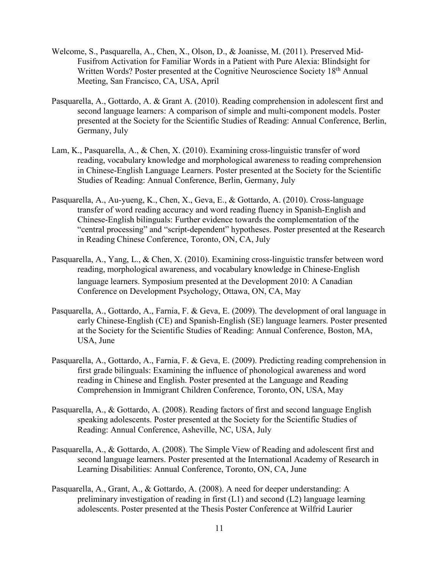- Welcome, S., Pasquarella, A., Chen, X., Olson, D., & Joanisse, M. (2011). Preserved Mid-Fusifrom Activation for Familiar Words in a Patient with Pure Alexia: Blindsight for Written Words? Poster presented at the Cognitive Neuroscience Society 18<sup>th</sup> Annual Meeting, San Francisco, CA, USA, April
- Pasquarella, A., Gottardo, A. & Grant A. (2010). Reading comprehension in adolescent first and second language learners: A comparison of simple and multi-component models. Poster presented at the Society for the Scientific Studies of Reading: Annual Conference, Berlin, Germany, July
- Lam, K., Pasquarella, A., & Chen, X. (2010). Examining cross-linguistic transfer of word reading, vocabulary knowledge and morphological awareness to reading comprehension in Chinese-English Language Learners. Poster presented at the Society for the Scientific Studies of Reading: Annual Conference, Berlin, Germany, July
- Pasquarella, A., Au-yueng, K., Chen, X., Geva, E., & Gottardo, A. (2010). Cross-language transfer of word reading accuracy and word reading fluency in Spanish-English and Chinese-English bilinguals: Further evidence towards the complementation of the "central processing" and "script-dependent" hypotheses. Poster presented at the Research in Reading Chinese Conference, Toronto, ON, CA, July
- Pasquarella, A., Yang, L., & Chen, X. (2010). Examining cross-linguistic transfer between word reading, morphological awareness, and vocabulary knowledge in Chinese-English language learners. Symposium presented at the Development 2010: A Canadian Conference on Development Psychology, Ottawa, ON, CA, May
- Pasquarella, A., Gottardo, A., Farnia, F. & Geva, E. (2009). The development of oral language in early Chinese-English (CE) and Spanish-English (SE) language learners. Poster presented at the Society for the Scientific Studies of Reading: Annual Conference, Boston, MA, USA, June
- Pasquarella, A., Gottardo, A., Farnia, F. & Geva, E. (2009). Predicting reading comprehension in first grade bilinguals: Examining the influence of phonological awareness and word reading in Chinese and English. Poster presented at the Language and Reading Comprehension in Immigrant Children Conference, Toronto, ON, USA, May
- Pasquarella, A., & Gottardo, A. (2008). Reading factors of first and second language English speaking adolescents. Poster presented at the Society for the Scientific Studies of Reading: Annual Conference, Asheville, NC, USA, July
- Pasquarella, A., & Gottardo, A. (2008). The Simple View of Reading and adolescent first and second language learners. Poster presented at the International Academy of Research in Learning Disabilities: Annual Conference, Toronto, ON, CA, June
- Pasquarella, A., Grant, A., & Gottardo, A. (2008). A need for deeper understanding: A preliminary investigation of reading in first (L1) and second (L2) language learning adolescents. Poster presented at the Thesis Poster Conference at Wilfrid Laurier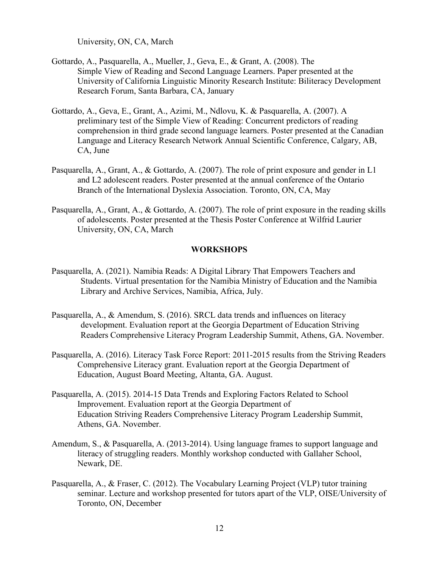University, ON, CA, March

- Gottardo, A., Pasquarella, A., Mueller, J., Geva, E., & Grant, A. (2008). The Simple View of Reading and Second Language Learners. Paper presented at the University of California Linguistic Minority Research Institute: Biliteracy Development Research Forum, Santa Barbara, CA, January
- Gottardo, A., Geva, E., Grant, A., Azimi, M., Ndlovu, K. & Pasquarella, A. (2007). A preliminary test of the Simple View of Reading: Concurrent predictors of reading comprehension in third grade second language learners. Poster presented at the Canadian Language and Literacy Research Network Annual Scientific Conference, Calgary, AB, CA, June
- Pasquarella, A., Grant, A., & Gottardo, A. (2007). The role of print exposure and gender in L1 and L2 adolescent readers. Poster presented at the annual conference of the Ontario Branch of the International Dyslexia Association. Toronto, ON, CA, May
- Pasquarella, A., Grant, A., & Gottardo, A. (2007). The role of print exposure in the reading skills of adolescents. Poster presented at the Thesis Poster Conference at Wilfrid Laurier University, ON, CA, March

#### **WORKSHOPS**

- Pasquarella, A. (2021). Namibia Reads: A Digital Library That Empowers Teachers and Students. Virtual presentation for the Namibia Ministry of Education and the Namibia Library and Archive Services, Namibia, Africa, July.
- Pasquarella, A., & Amendum, S. (2016). SRCL data trends and influences on literacy development. Evaluation report at the Georgia Department of Education Striving Readers Comprehensive Literacy Program Leadership Summit, Athens, GA. November.
- Pasquarella, A. (2016). Literacy Task Force Report: 2011-2015 results from the Striving Readers Comprehensive Literacy grant. Evaluation report at the Georgia Department of Education, August Board Meeting, Altanta, GA. August.
- Pasquarella, A. (2015). 2014-15 Data Trends and Exploring Factors Related to School Improvement. Evaluation report at the Georgia Department of Education Striving Readers Comprehensive Literacy Program Leadership Summit, Athens, GA. November.
- Amendum, S., & Pasquarella, A. (2013-2014). Using language frames to support language and literacy of struggling readers. Monthly workshop conducted with Gallaher School, Newark, DE.
- Pasquarella, A., & Fraser, C. (2012). The Vocabulary Learning Project (VLP) tutor training seminar. Lecture and workshop presented for tutors apart of the VLP, OISE/University of Toronto, ON, December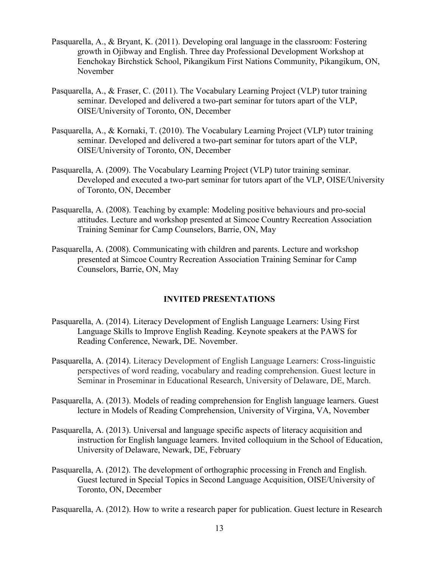- Pasquarella, A., & Bryant, K. (2011). Developing oral language in the classroom: Fostering growth in Ojibway and English. Three day Professional Development Workshop at Eenchokay Birchstick School, Pikangikum First Nations Community, Pikangikum, ON, November
- Pasquarella, A., & Fraser, C. (2011). The Vocabulary Learning Project (VLP) tutor training seminar. Developed and delivered a two-part seminar for tutors apart of the VLP, OISE/University of Toronto, ON, December
- Pasquarella, A., & Kornaki, T. (2010). The Vocabulary Learning Project (VLP) tutor training seminar. Developed and delivered a two-part seminar for tutors apart of the VLP, OISE/University of Toronto, ON, December
- Pasquarella, A. (2009). The Vocabulary Learning Project (VLP) tutor training seminar. Developed and executed a two-part seminar for tutors apart of the VLP, OISE/University of Toronto, ON, December
- Pasquarella, A. (2008). Teaching by example: Modeling positive behaviours and pro-social attitudes. Lecture and workshop presented at Simcoe Country Recreation Association Training Seminar for Camp Counselors, Barrie, ON, May
- Pasquarella, A. (2008). Communicating with children and parents. Lecture and workshop presented at Simcoe Country Recreation Association Training Seminar for Camp Counselors, Barrie, ON, May

# **INVITED PRESENTATIONS**

- Pasquarella, A. (2014). Literacy Development of English Language Learners: Using First Language Skills to Improve English Reading. Keynote speakers at the PAWS for Reading Conference, Newark, DE. November.
- Pasquarella, A. (2014). Literacy Development of English Language Learners: Cross-linguistic perspectives of word reading, vocabulary and reading comprehension. Guest lecture in Seminar in Proseminar in Educational Research, University of Delaware, DE, March.
- Pasquarella, A. (2013). Models of reading comprehension for English language learners. Guest lecture in Models of Reading Comprehension, University of Virgina, VA, November
- Pasquarella, A. (2013). Universal and language specific aspects of literacy acquisition and instruction for English language learners. Invited colloquium in the School of Education, University of Delaware, Newark, DE, February
- Pasquarella, A. (2012). The development of orthographic processing in French and English. Guest lectured in Special Topics in Second Language Acquisition, OISE/University of Toronto, ON, December

Pasquarella, A. (2012). How to write a research paper for publication. Guest lecture in Research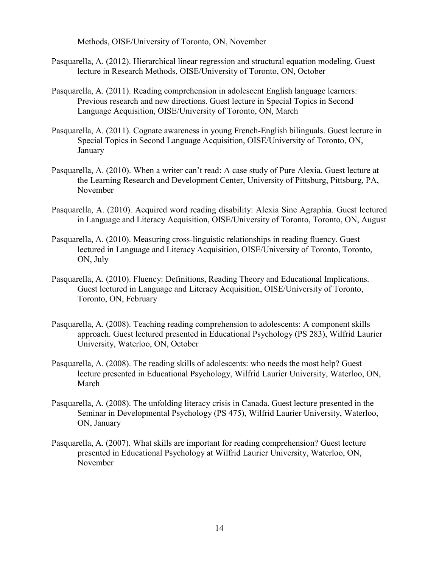Methods, OISE/University of Toronto, ON, November

- Pasquarella, A. (2012). Hierarchical linear regression and structural equation modeling. Guest lecture in Research Methods, OISE/University of Toronto, ON, October
- Pasquarella, A. (2011). Reading comprehension in adolescent English language learners: Previous research and new directions. Guest lecture in Special Topics in Second Language Acquisition, OISE/University of Toronto, ON, March
- Pasquarella, A. (2011). Cognate awareness in young French-English bilinguals. Guest lecture in Special Topics in Second Language Acquisition, OISE/University of Toronto, ON, January
- Pasquarella, A. (2010). When a writer can't read: A case study of Pure Alexia. Guest lecture at the Learning Research and Development Center, University of Pittsburg, Pittsburg, PA, November
- Pasquarella, A. (2010). Acquired word reading disability: Alexia Sine Agraphia. Guest lectured in Language and Literacy Acquisition, OISE/University of Toronto, Toronto, ON, August
- Pasquarella, A. (2010). Measuring cross-linguistic relationships in reading fluency. Guest lectured in Language and Literacy Acquisition, OISE/University of Toronto, Toronto, ON, July
- Pasquarella, A. (2010). Fluency: Definitions, Reading Theory and Educational Implications. Guest lectured in Language and Literacy Acquisition, OISE/University of Toronto, Toronto, ON, February
- Pasquarella, A. (2008). Teaching reading comprehension to adolescents: A component skills approach. Guest lectured presented in Educational Psychology (PS 283), Wilfrid Laurier University, Waterloo, ON, October
- Pasquarella, A. (2008). The reading skills of adolescents: who needs the most help? Guest lecture presented in Educational Psychology, Wilfrid Laurier University, Waterloo, ON, March
- Pasquarella, A. (2008). The unfolding literacy crisis in Canada. Guest lecture presented in the Seminar in Developmental Psychology (PS 475), Wilfrid Laurier University, Waterloo, ON, January
- Pasquarella, A. (2007). What skills are important for reading comprehension? Guest lecture presented in Educational Psychology at Wilfrid Laurier University, Waterloo, ON, November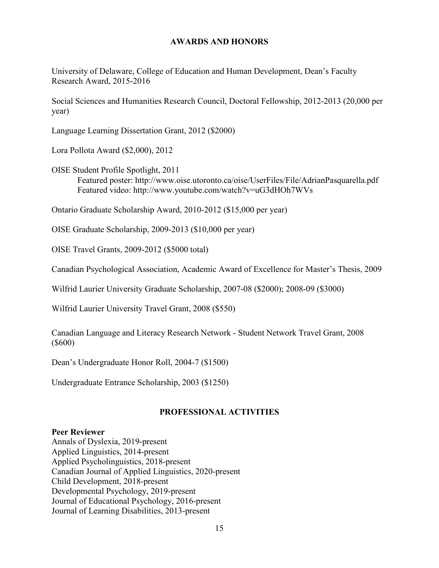### **AWARDS AND HONORS**

University of Delaware, College of Education and Human Development, Dean's Faculty Research Award, 2015-2016

Social Sciences and Humanities Research Council, Doctoral Fellowship, 2012-2013 (20,000 per year)

Language Learning Dissertation Grant, 2012 (\$2000)

Lora Pollota Award (\$2,000), 2012

OISE Student Profile Spotlight, 2011 Featured poster:<http://www.oise.utoronto.ca/oise/UserFiles/File/AdrianPasquarella.pdf> Featured video: <http://www.youtube.com/watch?v=uG3dHOh7WVs>

Ontario Graduate Scholarship Award, 2010-2012 (\$15,000 per year)

OISE Graduate Scholarship, 2009-2013 (\$10,000 per year)

OISE Travel Grants, 2009-2012 (\$5000 total)

Canadian Psychological Association, Academic Award of Excellence for Master's Thesis, 2009

Wilfrid Laurier University Graduate Scholarship, 2007-08 (\$2000); 2008-09 (\$3000)

Wilfrid Laurier University Travel Grant, 2008 (\$550)

Canadian Language and Literacy Research Network - Student Network Travel Grant, 2008 (\$600)

Dean's Undergraduate Honor Roll, 2004-7 (\$1500)

Undergraduate Entrance Scholarship, 2003 (\$1250)

## **PROFESSIONAL ACTIVITIES**

#### **Peer Reviewer**

Annals of Dyslexia, 2019-present Applied Linguistics, 2014-present Applied Psycholinguistics, 2018-present Canadian Journal of Applied Linguistics, 2020-present Child Development, 2018-present Developmental Psychology, 2019-present Journal of Educational Psychology, 2016-present Journal of Learning Disabilities, 2013-present